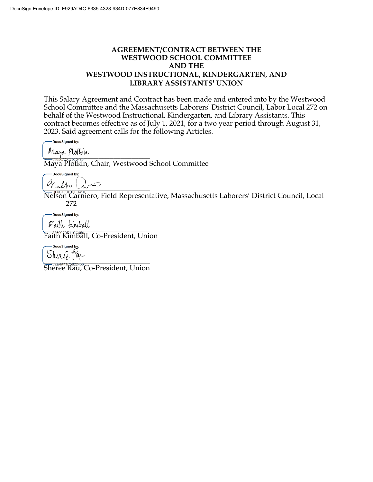### **AGREEMENT/CONTRACT BETWEEN THE WESTWOOD SCHOOL COMMITTEE AND THE WESTWOOD INSTRUCTIONAL, KINDERGARTEN, AND LIBRARY ASSISTANTS' UNION**

This Salary Agreement and Contract has been made and entered into by the Westwood School Committee and the Massachusetts Laborers' District Council, Labor Local 272 on behalf of the Westwood Instructional, Kindergarten, and Library Assistants. This contract becomes effective as of July 1, 2021, for a two year period through August 31, 2023. Said agreement calls for the following Articles.

DocuSigned by:

 $V$ 

Maya Plotkin, Chair, Westwood School Committee

DocuSianed by: \_\_\_\_\_\_\_\_\_\_\_\_\_\_\_\_\_\_\_\_\_\_\_\_\_\_\_\_\_

Nelson Carniero, Field Representative, Massachusetts Laborers' District Council, Local 272

-DocuSigned by:

 $r$  all  $u$   $\epsilon$  and  $au$ 

Faith Kimball, Co-President, Union

DocuSigned by: Shiric Kar

Sheree Rau, Co-President, Union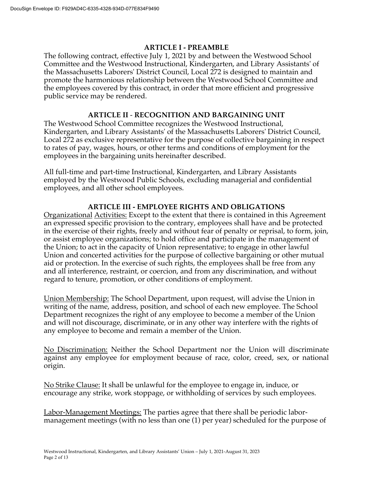### **ARTICLE I - PREAMBLE**

The following contract, effective July 1, 2021 by and between the Westwood School Committee and the Westwood Instructional, Kindergarten, and Library Assistants' of the Massachusetts Laborers' District Council, Local 272 is designed to maintain and promote the harmonious relationship between the Westwood School Committee and the employees covered by this contract, in order that more efficient and progressive public service may be rendered.

# **ARTICLE II** - **RECOGNITION AND BARGAINING UNIT**

The Westwood School Committee recognizes the Westwood Instructional, Kindergarten, and Library Assistants' of the Massachusetts Laborers' District Council, Local 272 as exclusive representative for the purpose of collective bargaining in respect to rates of pay, wages, hours, or other terms and conditions of employment for the employees in the bargaining units hereinafter described.

All full-time and part-time Instructional, Kindergarten, and Library Assistants employed by the Westwood Public Schools, excluding managerial and confidential employees, and all other school employees.

### **ARTICLE III - EMPLOYEE RIGHTS AND OBLIGATIONS**

Organizational Activities: Except to the extent that there is contained in this Agreement an expressed specific provision to the contrary, employees shall have and be protected in the exercise of their rights, freely and without fear of penalty or reprisal, to form, join, or assist employee organizations; to hold office and participate in the management of the Union; to act in the capacity of Union representative; to engage in other lawful Union and concerted activities for the purpose of collective bargaining or other mutual aid or protection. In the exercise of such rights, the employees shall be free from any and all interference, restraint, or coercion, and from any discrimination, and without regard to tenure, promotion, or other conditions of employment.

Union Membership: The School Department, upon request, will advise the Union in writing of the name, address, position, and school of each new employee. The School Department recognizes the right of any employee to become a member of the Union and will not discourage, discriminate, or in any other way interfere with the rights of any employee to become and remain a member of the Union.

No Discrimination: Neither the School Department nor the Union will discriminate against any employee for employment because of race, color, creed, sex, or national origin.

No Strike Clause: It shall be unlawful for the employee to engage in, induce, or encourage any strike, work stoppage, or withholding of services by such employees.

Labor-Management Meetings: The parties agree that there shall be periodic labormanagement meetings (with no less than one (1) per year) scheduled for the purpose of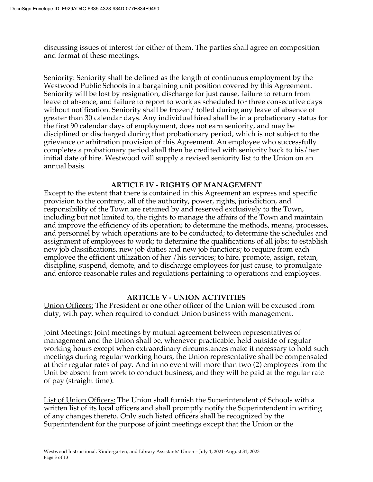discussing issues of interest for either of them. The parties shall agree on composition and format of these meetings.

Seniority: Seniority shall be defined as the length of continuous employment by the Westwood Public Schools in a bargaining unit position covered by this Agreement. Seniority will be lost by resignation, discharge for just cause, failure to return from leave of absence, and failure to report to work as scheduled for three consecutive days without notification. Seniority shall be frozen/ tolled during any leave of absence of greater than 30 calendar days. Any individual hired shall be in a probationary status for the first 90 calendar days of employment, does not earn seniority, and may be disciplined or discharged during that probationary period, which is not subject to the grievance or arbitration provision of this Agreement. An employee who successfully completes a probationary period shall then be credited with seniority back to his/her initial date of hire. Westwood will supply a revised seniority list to the Union on an annual basis.

### **ARTICLE IV - RIGHTS OF MANAGEMENT**

Except to the extent that there is contained in this Agreement an express and specific provision to the contrary, all of the authority, power, rights, jurisdiction, and responsibility of the Town are retained by and reserved exclusively to the Town, including but not limited to, the rights to manage the affairs of the Town and maintain and improve the efficiency of its operation; to determine the methods, means, processes, and personnel by which operations are to be conducted; to determine the schedules and assignment of employees to work; to determine the qualifications of all jobs; to establish new job classifications, new job duties and new job functions; to require from each employee the efficient utilization of her /his services; to hire, promote, assign, retain, discipline, suspend, demote, and to discharge employees for just cause, to promulgate and enforce reasonable rules and regulations pertaining to operations and employees.

### **ARTICLE V - UNION ACTIVITIES**

Union Officers: The President or one other officer of the Union will be excused from duty, with pay, when required to conduct Union business with management.

Joint Meetings: Joint meetings by mutual agreement between representatives of management and the Union shall be, whenever practicable, held outside of regular working hours except when extraordinary circumstances make it necessary to hold such meetings during regular working hours, the Union representative shall be compensated at their regular rates of pay. And in no event will more than two (2) employees from the Unit be absent from work to conduct business, and they will be paid at the regular rate of pay (straight time).

List of Union Officers: The Union shall furnish the Superintendent of Schools with a written list of its local officers and shall promptly notify the Superintendent in writing of any changes thereto. Only such listed officers shall be recognized by the Superintendent for the purpose of joint meetings except that the Union or the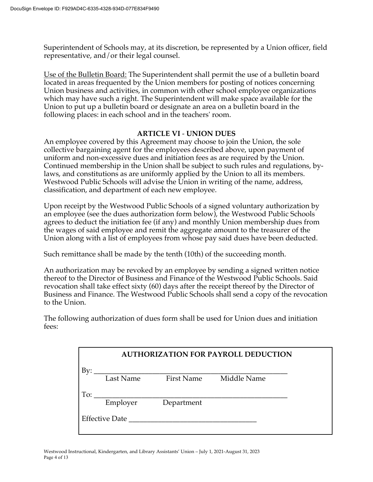Superintendent of Schools may, at its discretion, be represented by a Union officer, field representative, and/or their legal counsel.

Use of the Bulletin Board: The Superintendent shall permit the use of a bulletin board located in areas frequented by the Union members for posting of notices concerning Union business and activities, in common with other school employee organizations which may have such a right. The Superintendent will make space available for the Union to put up a bulletin board or designate an area on a bulletin board in the following places: in each school and in the teachers' room.

### **ARTICLE VI** - **UNION DUES**

An employee covered by this Agreement may choose to join the Union, the sole collective bargaining agent for the employees described above, upon payment of uniform and non-excessive dues and initiation fees as are required by the Union. Continued membership in the Union shall be subject to such rules and regulations, bylaws, and constitutions as are uniformly applied by the Union to all its members. Westwood Public Schools will advise the Union in writing of the name, address, classification, and department of each new employee.

Upon receipt by the Westwood Public Schools of a signed voluntary authorization by an employee (see the dues authorization form below), the Westwood Public Schools agrees to deduct the initiation fee (if any) and monthly Union membership dues from the wages of said employee and remit the aggregate amount to the treasurer of the Union along with a list of employees from whose pay said dues have been deducted.

Such remittance shall be made by the tenth (10th) of the succeeding month.

An authorization may be revoked by an employee by sending a signed written notice thereof to the Director of Business and Finance of the Westwood Public Schools. Said revocation shall take effect sixty (60) days after the receipt thereof by the Director of Business and Finance. The Westwood Public Schools shall send a copy of the revocation to the Union.

The following authorization of dues form shall be used for Union dues and initiation fees:

|                       |           |                   | <b>AUTHORIZATION FOR PAYROLL DEDUCTION</b> |
|-----------------------|-----------|-------------------|--------------------------------------------|
| Bv:                   |           |                   |                                            |
|                       | Last Name | <b>First Name</b> | Middle Name                                |
| To:                   |           |                   |                                            |
|                       | Employer  | Department        |                                            |
| <b>Effective Date</b> |           |                   |                                            |
|                       |           |                   |                                            |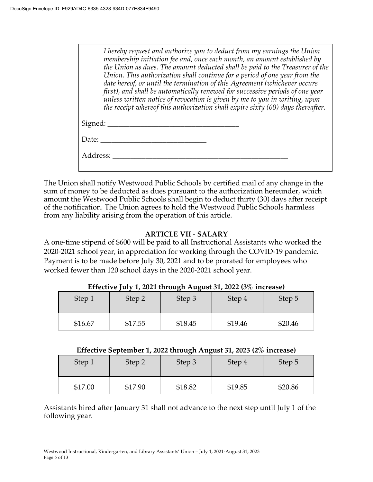*I hereby request and authorize you to deduct from my earnings the Union membership initiation fee and, once each month, an amount established by the Union as dues. The amount deducted shall be paid to the Treasurer of the Union. This authorization shall continue for a period of one year from the date hereof, or until the termination of this Agreement (whichever occurs first), and shall be automatically renewed for successive periods of one year unless written notice of revocation is given by me to you in writing, upon the receipt whereof this authorization shall expire sixty (60) days thereafter.* Signed: \_\_\_\_\_\_\_\_\_\_\_\_\_\_\_\_\_\_\_\_\_\_\_\_\_\_\_\_\_\_\_\_\_\_\_\_

| Address: | Date: |  |  |  |
|----------|-------|--|--|--|
|          |       |  |  |  |
|          |       |  |  |  |

The Union shall notify Westwood Public Schools by certified mail of any change in the sum of money to be deducted as dues pursuant to the authorization hereunder, which amount the Westwood Public Schools shall begin to deduct thirty (30) days after receipt of the notification. The Union agrees to hold the Westwood Public Schools harmless from any liability arising from the operation of this article.

#### **ARTICLE VII** - **SALARY**

A one-time stipend of \$600 will be paid to all Instructional Assistants who worked the 2020-2021 school year, in appreciation for working through the COVID-19 pandemic. Payment is to be made before July 30, 2021 and to be prorated for employees who worked fewer than 120 school days in the 2020-2021 school year.

| Step 1  | Step 2  | ັ<br>Step 3 | Step 4  | Step 5  |
|---------|---------|-------------|---------|---------|
| \$16.67 | \$17.55 | \$18.45     | \$19.46 | \$20.46 |

#### **Effective July 1, 2021 through August 31, 2022 (3% increase)**

#### **Effective September 1, 2022 through August 31, 2023 (2% increase)**

| Step 1  | Step 2  | Step 3  | Step 4  | Step 5  |
|---------|---------|---------|---------|---------|
| \$17.00 | \$17.90 | \$18.82 | \$19.85 | \$20.86 |

Assistants hired after January 31 shall not advance to the next step until July 1 of the following year.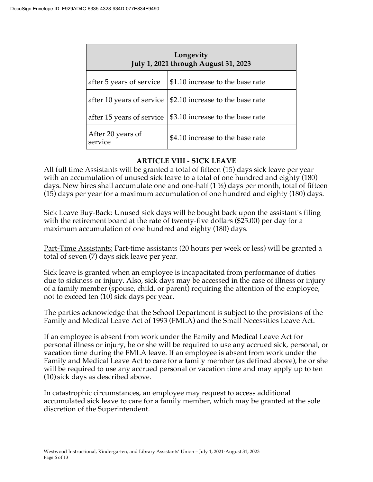| Longevity<br>July 1, 2021 through August 31, 2023 |                                  |  |
|---------------------------------------------------|----------------------------------|--|
| after 5 years of service                          | \$1.10 increase to the base rate |  |
| after 10 years of service                         | \$2.10 increase to the base rate |  |
| after 15 years of service                         | \$3.10 increase to the base rate |  |
| After 20 years of<br>service                      | \$4.10 increase to the base rate |  |

# **ARTICLE VIII** - **SICK LEAVE**

All full time Assistants will be granted a total of fifteen (15) days sick leave per year with an accumulation of unused sick leave to a total of one hundred and eighty (180) days. New hires shall accumulate one and one-half  $(1 \frac{1}{2})$  days per month, total of fifteen (15) days per year for a maximum accumulation of one hundred and eighty (180) days.

Sick Leave Buy-Back: Unused sick days will be bought back upon the assistant's filing with the retirement board at the rate of twenty-five dollars (\$25.00) per day for a maximum accumulation of one hundred and eighty (180) days.

Part-Time Assistants: Part-time assistants (20 hours per week or less) will be granted a total of seven (7) days sick leave per year.

Sick leave is granted when an employee is incapacitated from performance of duties due to sickness or injury. Also, sick days may be accessed in the case of illness or injury of a family member (spouse, child, or parent) requiring the attention of the employee, not to exceed ten (10) sick days per year.

The parties acknowledge that the School Department is subject to the provisions of the Family and Medical Leave Act of 1993 (FMLA) and the Small Necessities Leave Act.

If an employee is absent from work under the Family and Medical Leave Act for personal illness or injury, he or she will be required to use any accrued sick, personal, or vacation time during the FMLA leave. If an employee is absent from work under the Family and Medical Leave Act to care for a family member (as defined above), he or she will be required to use any accrued personal or vacation time and may apply up to ten (10) sick days as described above.

In catastrophic circumstances, an employee may request to access additional accumulated sick leave to care for a family member, which may be granted at the sole discretion of the Superintendent.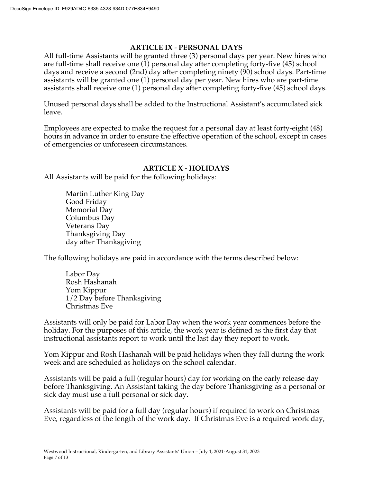### **ARTICLE IX** - **PERSONAL DAYS**

All full-time Assistants will be granted three (3) personal days per year. New hires who are full-time shall receive one (1) personal day after completing forty-five (45) school days and receive a second (2nd) day after completing ninety (90) school days. Part-time assistants will be granted one (1) personal day per year. New hires who are part-time assistants shall receive one (1) personal day after completing forty-five (45) school days.

Unused personal days shall be added to the Instructional Assistant's accumulated sick leave.

Employees are expected to make the request for a personal day at least forty-eight (48) hours in advance in order to ensure the effective operation of the school, except in cases of emergencies or unforeseen circumstances.

### **ARTICLE X - HOLIDAYS**

All Assistants will be paid for the following holidays:

Martin Luther King Day Good Friday Memorial Day Columbus Day Veterans Day Thanksgiving Day day after Thanksgiving

The following holidays are paid in accordance with the terms described below:

Labor Day Rosh Hashanah Yom Kippur 1/2 Day before Thanksgiving Christmas Eve

Assistants will only be paid for Labor Day when the work year commences before the holiday. For the purposes of this article, the work year is defined as the first day that instructional assistants report to work until the last day they report to work.

Yom Kippur and Rosh Hashanah will be paid holidays when they fall during the work week and are scheduled as holidays on the school calendar.

Assistants will be paid a full (regular hours) day for working on the early release day before Thanksgiving. An Assistant taking the day before Thanksgiving as a personal or sick day must use a full personal or sick day.

Assistants will be paid for a full day (regular hours) if required to work on Christmas Eve, regardless of the length of the work day. If Christmas Eve is a required work day,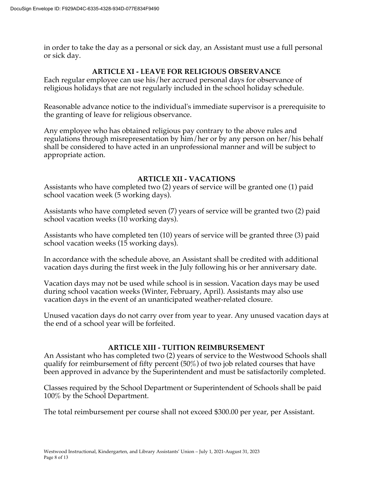in order to take the day as a personal or sick day, an Assistant must use a full personal or sick day.

# **ARTICLE XI - LEAVE FOR RELIGIOUS OBSERVANCE**

Each regular employee can use his/her accrued personal days for observance of religious holidays that are not regularly included in the school holiday schedule.

Reasonable advance notice to the individual's immediate supervisor is a prerequisite to the granting of leave for religious observance.

Any employee who has obtained religious pay contrary to the above rules and regulations through misrepresentation by him/her or by any person on her/his behalf shall be considered to have acted in an unprofessional manner and will be subject to appropriate action.

### **ARTICLE XII - VACATIONS**

Assistants who have completed two (2) years of service will be granted one (1) paid school vacation week (5 working days).

Assistants who have completed seven (7) years of service will be granted two (2) paid school vacation weeks (10 working days).

Assistants who have completed ten (10) years of service will be granted three (3) paid school vacation weeks (15 working days).

In accordance with the schedule above, an Assistant shall be credited with additional vacation days during the first week in the July following his or her anniversary date.

Vacation days may not be used while school is in session. Vacation days may be used during school vacation weeks (Winter, February, April). Assistants may also use vacation days in the event of an unanticipated weather-related closure.

Unused vacation days do not carry over from year to year. Any unused vacation days at the end of a school year will be forfeited.

### **ARTICLE XIII - TUITION REIMBURSEMENT**

An Assistant who has completed two (2) years of service to the Westwood Schools shall qualify for reimbursement of fifty percent (50%) of two job related courses that have been approved in advance by the Superintendent and must be satisfactorily completed.

Classes required by the School Department or Superintendent of Schools shall be paid 100% by the School Department.

The total reimbursement per course shall not exceed \$300.00 per year, per Assistant.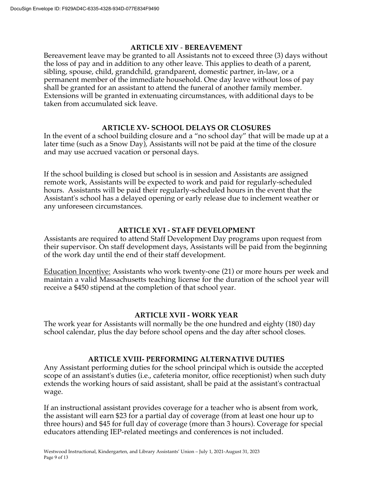### **ARTICLE XIV** - **BEREAVEMENT**

Bereavement leave may be granted to all Assistants not to exceed three (3) days without the loss of pay and in addition to any other leave. This applies to death of a parent, sibling, spouse, child, grandchild, grandparent, domestic partner, in-law, or a permanent member of the immediate household. One day leave without loss of pay shall be granted for an assistant to attend the funeral of another family member. Extensions will be granted in extenuating circumstances, with additional days to be taken from accumulated sick leave.

### **ARTICLE XV- SCHOOL DELAYS OR CLOSURES**

In the event of a school building closure and a "no school day" that will be made up at a later time (such as a Snow Day), Assistants will not be paid at the time of the closure and may use accrued vacation or personal days.

If the school building is closed but school is in session and Assistants are assigned remote work, Assistants will be expected to work and paid for regularly-scheduled hours. Assistants will be paid their regularly-scheduled hours in the event that the Assistant's school has a delayed opening or early release due to inclement weather or any unforeseen circumstances.

# **ARTICLE XVI - STAFF DEVELOPMENT**

Assistants are required to attend Staff Development Day programs upon request from their supervisor. On staff development days, Assistants will be paid from the beginning of the work day until the end of their staff development.

Education Incentive: Assistants who work twenty-one (21) or more hours per week and maintain a valid Massachusetts teaching license for the duration of the school year will receive a \$450 stipend at the completion of that school year.

### **ARTICLE XVII - WORK YEAR**

The work year for Assistants will normally be the one hundred and eighty (180) day school calendar, plus the day before school opens and the day after school closes.

### **ARTICLE XVIII- PERFORMING ALTERNATIVE DUTIES**

Any Assistant performing duties for the school principal which is outside the accepted scope of an assistant's duties (i.e., cafeteria monitor, office receptionist) when such duty extends the working hours of said assistant, shall be paid at the assistant's contractual wage.

If an instructional assistant provides coverage for a teacher who is absent from work, the assistant will earn \$23 for a partial day of coverage (from at least one hour up to three hours) and \$45 for full day of coverage (more than 3 hours). Coverage for special educators attending IEP-related meetings and conferences is not included.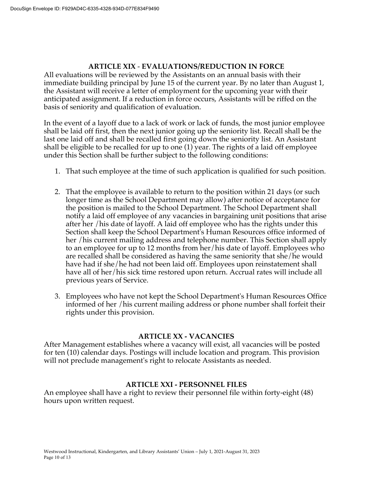# **ARTICLE XIX** - **EVALUATIONS/REDUCTION IN FORCE**

All evaluations will be reviewed by the Assistants on an annual basis with their immediate building principal by June 15 of the current year. By no later than August 1, the Assistant will receive a letter of employment for the upcoming year with their anticipated assignment. If a reduction in force occurs, Assistants will be riffed on the basis of seniority and qualification of evaluation.

In the event of a layoff due to a lack of work or lack of funds, the most junior employee shall be laid off first, then the next junior going up the seniority list. Recall shall be the last one laid off and shall be recalled first going down the seniority list. An Assistant shall be eligible to be recalled for up to one (1) year. The rights of a laid off employee under this Section shall be further subject to the following conditions:

- 1. That such employee at the time of such application is qualified for such position.
- 2. That the employee is available to return to the position within 21 days (or such longer time as the School Department may allow) after notice of acceptance for the position is mailed to the School Department. The School Department shall notify a laid off employee of any vacancies in bargaining unit positions that arise after her /his date of layoff. A laid off employee who has the rights under this Section shall keep the School Department's Human Resources office informed of her /his current mailing address and telephone number. This Section shall apply to an employee for up to 12 months from her/his date of layoff. Employees who are recalled shall be considered as having the same seniority that she/he would have had if she/he had not been laid off. Employees upon reinstatement shall have all of her/his sick time restored upon return. Accrual rates will include all previous years of Service.
- 3. Employees who have not kept the School Department's Human Resources Office informed of her /his current mailing address or phone number shall forfeit their rights under this provision.

#### **ARTICLE XX - VACANCIES**

After Management establishes where a vacancy will exist, all vacancies will be posted for ten (10) calendar days. Postings will include location and program. This provision will not preclude management's right to relocate Assistants as needed.

### **ARTICLE XXI - PERSONNEL FILES**

An employee shall have a right to review their personnel file within forty-eight (48) hours upon written request.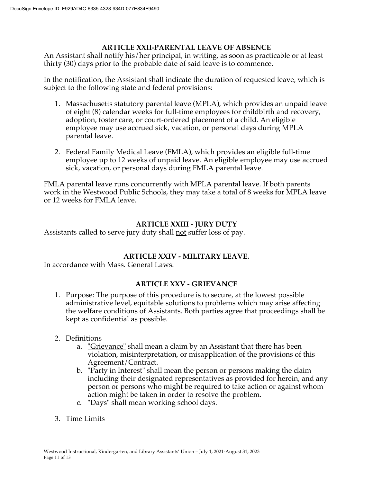### **ARTICLE XXII-PARENTAL LEAVE OF ABSENCE**

An Assistant shall notify his/her principal, in writing, as soon as practicable or at least thirty (30) days prior to the probable date of said leave is to commence.

In the notification, the Assistant shall indicate the duration of requested leave, which is subject to the following state and federal provisions:

- 1. Massachusetts statutory parental leave (MPLA), which provides an unpaid leave of eight (8) calendar weeks for full-time employees for childbirth and recovery, adoption, foster care, or court-ordered placement of a child. An eligible employee may use accrued sick, vacation, or personal days during MPLA parental leave.
- 2. Federal Family Medical Leave (FMLA), which provides an eligible full-time employee up to 12 weeks of unpaid leave. An eligible employee may use accrued sick, vacation, or personal days during FMLA parental leave.

FMLA parental leave runs concurrently with MPLA parental leave. If both parents work in the Westwood Public Schools, they may take a total of 8 weeks for MPLA leave or 12 weeks for FMLA leave.

### **ARTICLE XXIII - JURY DUTY**

Assistants called to serve jury duty shall <u>not</u> suffer loss of pay.

### **ARTICLE XXIV - MILITARY LEAVE.**

In accordance with Mass. General Laws.

### **ARTICLE XXV - GRIEVANCE**

1. Purpose: The purpose of this procedure is to secure, at the lowest possible administrative level, equitable solutions to problems which may arise affecting the welfare conditions of Assistants. Both parties agree that proceedings shall be kept as confidential as possible.

#### 2. Definitions

- a. <u>"Grievance"</u> shall mean a claim by an Assistant that there has been violation, misinterpretation, or misapplication of the provisions of this Agreement/Contract.
- b. "Party in Interest" shall mean the person or persons making the claim including their designated representatives as provided for herein, and any person or persons who might be required to take action or against whom action might be taken in order to resolve the problem.
- c. "Days" shall mean working school days.
- 3. Time Limits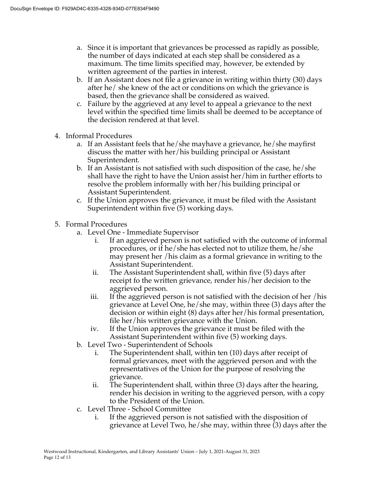- a. Since it is important that grievances be processed as rapidly as possible, the number of days indicated at each step shall be considered as a maximum. The time limits specified may, however, be extended by written agreement of the parties in interest.
- b. If an Assistant does not file a grievance in writing within thirty (30) days after he/ she knew of the act or conditions on which the grievance is based, then the grievance shall be considered as waived.
- c. Failure by the aggrieved at any level to appeal a grievance to the next level within the specified time limits shall be deemed to be acceptance of the decision rendered at that level.
- 4. Informal Procedures
	- a. If an Assistant feels that he/she mayhave a grievance, he/she mayfirst discuss the matter with her/his building principal or Assistant Superintendent.
	- b. If an Assistant is not satisfied with such disposition of the case, he/she shall have the right to have the Union assist her/him in further efforts to resolve the problem informally with her/his building principal or Assistant Superintendent.
	- c. If the Union approves the grievance, it must be filed with the Assistant Superintendent within five (5) working days.

### 5. Formal Procedures

- a. Level One Immediate Supervisor
	- i. If an aggrieved person is not satisfied with the outcome of informal procedures, or if he/she has elected not to utilize them, he/she may present her /his claim as a formal grievance in writing to the Assistant Superintendent.
	- ii. The Assistant Superintendent shall, within five (5) days after receipt fo the written grievance, render his/her decision to the aggrieved person.
	- iii. If the aggrieved person is not satisfied with the decision of her /his grievance at Level One, he/she may, within three (3) days after the decision or within eight (8) days after her/his formal presentation, file her/his written grievance with the Union.
	- iv. If the Union approves the grievance it must be filed with the Assistant Superintendent within five (5) working days.
- b. Level Two Superintendent of Schools
	- i. The Superintendent shall, within ten (10) days after receipt of formal grievances, meet with the aggrieved person and with the representatives of the Union for the purpose of resolving the grievance.
	- ii. The Superintendent shall, within three (3) days after the hearing, render his decision in writing to the aggrieved person, with a copy to the President of the Union.
- c. Level Three School Committee
	- i. If the aggrieved person is not satisfied with the disposition of grievance at Level Two, he/she may, within three (3) days after the